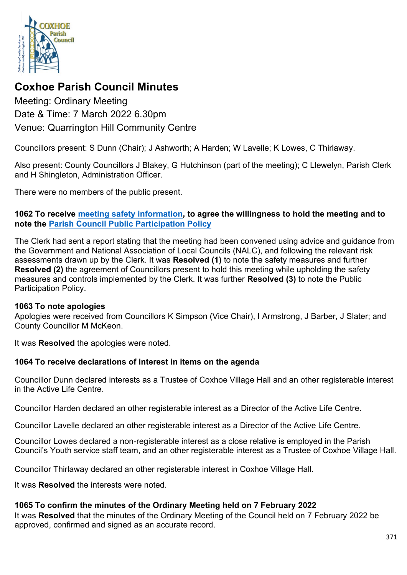

# **Coxhoe Parish Council Minutes**

Meeting: Ordinary Meeting Date & Time: 7 March 2022 6.30pm Venue: Quarrington Hill Community Centre

Councillors present: S Dunn (Chair); J Ashworth; A Harden; W Lavelle; K Lowes, C Thirlaway.

Also present: County Councillors J Blakey, G Hutchinson (part of the meeting); C Llewelyn, Parish Clerk and H Shingleton, Administration Officer.

There were no members of the public present.

## **1062 To receive [meeting safety information,](https://1drv.ms/b/s!Alg_TKmu7xwUgdd1BIsKvp0wiOu-Zg?e=buX94d) to agree the willingness to hold the meeting and to note the [Parish Council Public Participation Policy](http://coxhoeparishcouncil.gov.uk/important-documents-and-policies/public-participation-policy-fmarch-2020-review-date-march-2022/)**

The Clerk had sent a report stating that the meeting had been convened using advice and guidance from the Government and National Association of Local Councils (NALC), and following the relevant risk assessments drawn up by the Clerk. It was **Resolved (1)** to note the safety measures and further **Resolved (2)** the agreement of Councillors present to hold this meeting while upholding the safety measures and controls implemented by the Clerk. It was further **Resolved (3)** to note the Public Participation Policy.

#### **1063 To note apologies**

Apologies were received from Councillors K Simpson (Vice Chair), I Armstrong, J Barber, J Slater; and County Councillor M McKeon.

It was **Resolved** the apologies were noted.

# **1064 To receive declarations of interest in items on the agenda**

Councillor Dunn declared interests as a Trustee of Coxhoe Village Hall and an other registerable interest in the Active Life Centre.

Councillor Harden declared an other registerable interest as a Director of the Active Life Centre.

Councillor Lavelle declared an other registerable interest as a Director of the Active Life Centre.

Councillor Lowes declared a non-registerable interest as a close relative is employed in the Parish Council's Youth service staff team, and an other registerable interest as a Trustee of Coxhoe Village Hall.

Councillor Thirlaway declared an other registerable interest in Coxhoe Village Hall.

It was **Resolved** the interests were noted.

# **1065 To confirm the minutes of the Ordinary Meeting held on 7 February 2022**

It was **Resolved** that the minutes of the Ordinary Meeting of the Council held on 7 February 2022 be approved, confirmed and signed as an accurate record.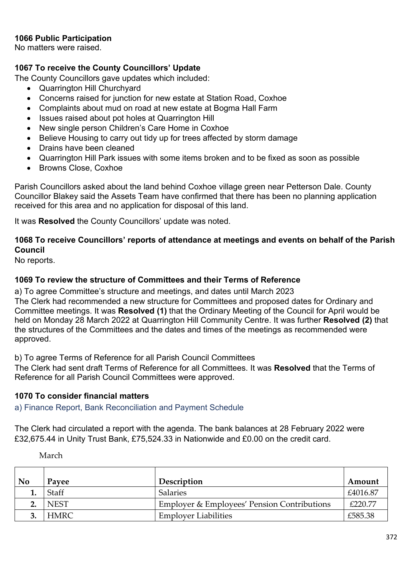## **1066 Public Participation**

No matters were raised.

## **1067 To receive the County Councillors' Update**

The County Councillors gave updates which included:

- Quarrington Hill Churchyard
- Concerns raised for junction for new estate at Station Road, Coxhoe
- Complaints about mud on road at new estate at Bogma Hall Farm
- Issues raised about pot holes at Quarrington Hill
- New single person Children's Care Home in Coxhoe
- Believe Housing to carry out tidy up for trees affected by storm damage
- Drains have been cleaned
- Quarrington Hill Park issues with some items broken and to be fixed as soon as possible
- Browns Close, Coxhoe

Parish Councillors asked about the land behind Coxhoe village green near Petterson Dale. County Councillor Blakey said the Assets Team have confirmed that there has been no planning application received for this area and no application for disposal of this land.

It was **Resolved** the County Councillors' update was noted.

## **1068 To receive Councillors' reports of attendance at meetings and events on behalf of the Parish Council**

No reports.

## **1069 To review the structure of Committees and their Terms of Reference**

a) To agree Committee's structure and meetings, and dates until March 2023 The Clerk had recommended a new structure for Committees and proposed dates for Ordinary and Committee meetings. It was **Resolved (1)** that the Ordinary Meeting of the Council for April would be held on Monday 28 March 2022 at Quarrington Hill Community Centre. It was further **Resolved (2)** that the structures of the Committees and the dates and times of the meetings as recommended were approved.

b) To agree Terms of Reference for all Parish Council Committees

The Clerk had sent draft Terms of Reference for all Committees. It was **Resolved** that the Terms of Reference for all Parish Council Committees were approved.

#### **1070 To consider financial matters**

a) Finance Report, Bank Reconciliation and Payment Schedule

The Clerk had circulated a report with the agenda. The bank balances at 28 February 2022 were £32,675.44 in Unity Trust Bank, £75,524.33 in Nationwide and £0.00 on the credit card.

March

| No | Payee       | Description                                            | Amount   |
|----|-------------|--------------------------------------------------------|----------|
|    | Staff       | <b>Salaries</b>                                        | £4016.87 |
|    | <b>NEST</b> | <b>Employer &amp; Employees' Pension Contributions</b> | £220.77  |
|    | HMRC        | <b>Employer Liabilities</b>                            | £585.38  |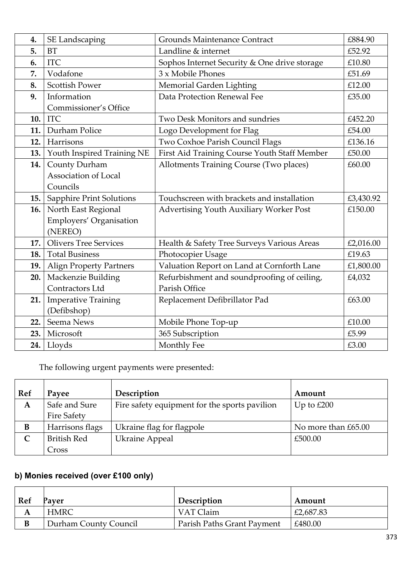| 4.  | <b>SE Landscaping</b>           | <b>Grounds Maintenance Contract</b>                     | £884.90   |
|-----|---------------------------------|---------------------------------------------------------|-----------|
| 5.  | <b>BT</b>                       | Landline & internet                                     | £52.92    |
| 6.  | <b>ITC</b>                      | Sophos Internet Security & One drive storage            | £10.80    |
| 7.  | Vodafone                        | 3 x Mobile Phones                                       | £51.69    |
| 8.  | <b>Scottish Power</b>           | Memorial Garden Lighting                                | £12.00    |
| 9.  | Information                     | Data Protection Renewal Fee                             | £35.00    |
|     | Commissioner's Office           |                                                         |           |
| 10. | <b>ITC</b>                      | Two Desk Monitors and sundries                          | £452.20   |
| 11. | Durham Police                   | Logo Development for Flag                               | £54.00    |
| 12. | Harrisons                       | Two Coxhoe Parish Council Flags                         | £136.16   |
| 13. | Youth Inspired Training NE      | First Aid Training Course Youth Staff Member            | £50.00    |
| 14. | County Durham                   | Allotments Training Course (Two places)                 | £60.00    |
|     | Association of Local            |                                                         |           |
|     | Councils                        |                                                         |           |
| 15. | <b>Sapphire Print Solutions</b> | Touchscreen with brackets and installation              | £3,430.92 |
| 16. | North East Regional             | <b>Advertising Youth Auxiliary Worker Post</b>          | £150.00   |
|     | Employers' Organisation         |                                                         |           |
|     | (NEREO)                         |                                                         |           |
| 17. | <b>Olivers Tree Services</b>    | Health & Safety Tree Surveys Various Areas              | £2,016.00 |
| 18. | <b>Total Business</b>           | Photocopier Usage<br>£19.63                             |           |
| 19. | <b>Align Property Partners</b>  | Valuation Report on Land at Cornforth Lane<br>£1,800.00 |           |
| 20. | Mackenzie Building              | Refurbishment and soundproofing of ceiling,             | £4,032    |
|     | Contractors Ltd                 | Parish Office                                           |           |
| 21. | <b>Imperative Training</b>      | Replacement Defibrillator Pad                           | £63.00    |
|     | (Defibshop)                     |                                                         |           |
| 22. | Seema News                      | Mobile Phone Top-up                                     | £10.00    |
| 23. | Microsoft                       | 365 Subscription                                        | £5.99     |
| 24. | Lloyds                          | Monthly Fee                                             | £3.00     |

The following urgent payments were presented:

| <b>Ref</b> | Payee              | Description                                   | Amount              |
|------------|--------------------|-----------------------------------------------|---------------------|
| A          | Safe and Sure      | Fire safety equipment for the sports pavilion | Up to $£200$        |
|            | Fire Safety        |                                               |                     |
| B          | Harrisons flags    | Ukraine flag for flagpole                     | No more than £65.00 |
|            | <b>British Red</b> | <b>Ukraine Appeal</b>                         | £500.00             |
|            | Cross              |                                               |                     |

# **b) Monies received (over £100 only)**

| Ref | Paver                 | Description                | Amount    |
|-----|-----------------------|----------------------------|-----------|
|     | <b>HMRC</b>           | VAT Claim                  | £2,687.83 |
|     | Durham County Council | Parish Paths Grant Payment | £480.00   |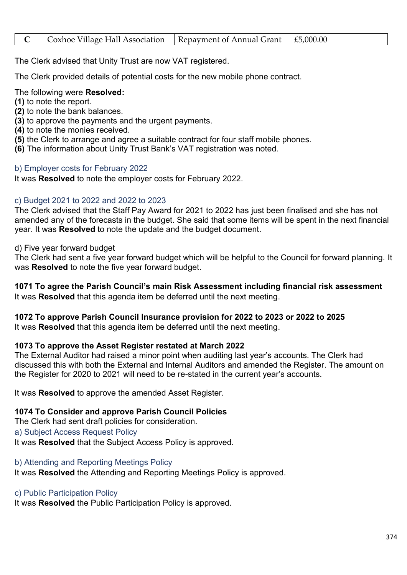|  | $\vert$ Coxhoe Village Hall Association $\vert$ Repayment of Annual Grant $\vert$ £5,000.00 |  |  |
|--|---------------------------------------------------------------------------------------------|--|--|
|--|---------------------------------------------------------------------------------------------|--|--|

The Clerk advised that Unity Trust are now VAT registered.

The Clerk provided details of potential costs for the new mobile phone contract.

The following were **Resolved:**

- **(1)** to note the report.
- **(2)** to note the bank balances.
- **(3)** to approve the payments and the urgent payments.
- **(4)** to note the monies received.
- **(5)** the Clerk to arrange and agree a suitable contract for four staff mobile phones.
- **(6)** The information about Unity Trust Bank's VAT registration was noted.

#### b) Employer costs for February 2022

It was **Resolved** to note the employer costs for February 2022.

## c) Budget 2021 to 2022 and 2022 to 2023

The Clerk advised that the Staff Pay Award for 2021 to 2022 has just been finalised and she has not amended any of the forecasts in the budget. She said that some items will be spent in the next financial year. It was **Resolved** to note the update and the budget document.

#### d) Five year forward budget

The Clerk had sent a five year forward budget which will be helpful to the Council for forward planning. It was **Resolved** to note the five year forward budget.

**1071 To agree the Parish Council's main Risk Assessment including financial risk assessment** It was **Resolved** that this agenda item be deferred until the next meeting.

## **1072 To approve Parish Council Insurance provision for 2022 to 2023 or 2022 to 2025**

It was **Resolved** that this agenda item be deferred until the next meeting.

## **1073 To approve the Asset Register restated at March 2022**

The External Auditor had raised a minor point when auditing last year's accounts. The Clerk had discussed this with both the External and Internal Auditors and amended the Register. The amount on the Register for 2020 to 2021 will need to be re-stated in the current year's accounts.

It was **Resolved** to approve the amended Asset Register.

# **1074 To Consider and approve Parish Council Policies**

The Clerk had sent draft policies for consideration. a) Subject Access Request Policy

It was **Resolved** that the Subject Access Policy is approved.

# b) Attending and Reporting Meetings Policy

It was **Resolved** the Attending and Reporting Meetings Policy is approved.

# c) Public Participation Policy

It was **Resolved** the Public Participation Policy is approved.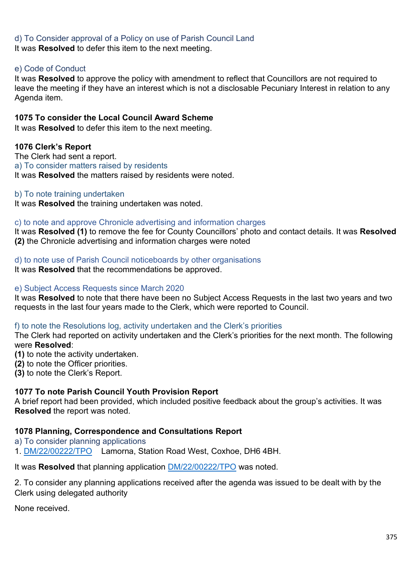## d) To Consider approval of a Policy on use of Parish Council Land

It was **Resolved** to defer this item to the next meeting.

### e) Code of Conduct

It was **Resolved** to approve the policy with amendment to reflect that Councillors are not required to leave the meeting if they have an interest which is not a disclosable Pecuniary Interest in relation to any Agenda item.

#### **1075 To consider the Local Council Award Scheme**

It was **Resolved** to defer this item to the next meeting.

## **1076 Clerk's Report**

The Clerk had sent a report. a) To consider matters raised by residents It was **Resolved** the matters raised by residents were noted.

#### b) To note training undertaken

It was **Resolved** the training undertaken was noted.

#### c) to note and approve Chronicle advertising and information charges

It was **Resolved (1)** to remove the fee for County Councillors' photo and contact details. It was **Resolved (2)** the Chronicle advertising and information charges were noted

#### d) to note use of Parish Council noticeboards by other organisations

It was **Resolved** that the recommendations be approved.

#### e) Subject Access Requests since March 2020

It was **Resolved** to note that there have been no Subject Access Requests in the last two years and two requests in the last four years made to the Clerk, which were reported to Council.

#### f) to note the Resolutions log, activity undertaken and the Clerk's priorities

The Clerk had reported on activity undertaken and the Clerk's priorities for the next month. The following were **Resolved**:

**(1)** to note the activity undertaken.

- **(2)** to note the Officer priorities.
- **(3)** to note the Clerk's Report.

#### **1077 To note Parish Council Youth Provision Report**

A brief report had been provided, which included positive feedback about the group's activities. It was **Resolved** the report was noted.

#### **1078 Planning, Correspondence and Consultations Report**

a) To consider planning applications

1. [DM/22/00222/TPO](https://publicaccess.durham.gov.uk/online-applications/applicationDetails.do?activeTab=summary&keyVal=R3SCVCGDJQ600) Lamorna, Station Road West, Coxhoe, DH6 4BH.

It was **Resolved** that planning application [DM/22/00222/TPO](https://publicaccess.durham.gov.uk/online-applications/applicationDetails.do?activeTab=summary&keyVal=R3SCVCGDJQ600) was noted.

2. To consider any planning applications received after the agenda was issued to be dealt with by the Clerk using delegated authority

None received.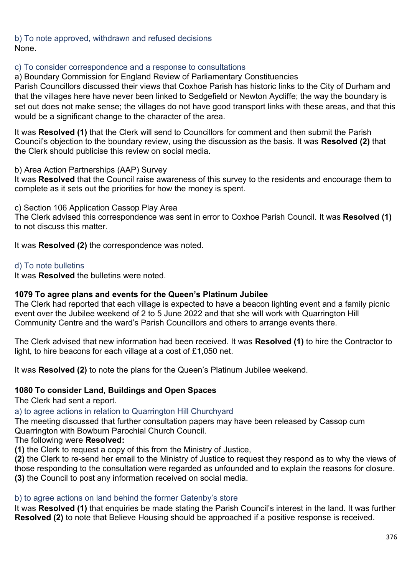b) To note approved, withdrawn and refused decisions None.

## c) To consider correspondence and a response to consultations

a) Boundary Commission for England Review of Parliamentary Constituencies

Parish Councillors discussed their views that Coxhoe Parish has historic links to the City of Durham and that the villages here have never been linked to Sedgefield or Newton Aycliffe; the way the boundary is set out does not make sense; the villages do not have good transport links with these areas, and that this would be a significant change to the character of the area.

It was **Resolved (1)** that the Clerk will send to Councillors for comment and then submit the Parish Council's objection to the boundary review, using the discussion as the basis. It was **Resolved (2)** that the Clerk should publicise this review on social media.

b) Area Action Partnerships (AAP) Survey

It was **Resolved** that the Council raise awareness of this survey to the residents and encourage them to complete as it sets out the priorities for how the money is spent.

c) Section 106 Application Cassop Play Area

The Clerk advised this correspondence was sent in error to Coxhoe Parish Council. It was **Resolved (1)** to not discuss this matter.

It was **Resolved (2)** the correspondence was noted.

#### d) To note bulletins

It was **Resolved** the bulletins were noted.

#### **1079 To agree plans and events for the Queen's Platinum Jubilee**

The Clerk had reported that each village is expected to have a beacon lighting event and a family picnic event over the Jubilee weekend of 2 to 5 June 2022 and that she will work with Quarrington Hill Community Centre and the ward's Parish Councillors and others to arrange events there.

The Clerk advised that new information had been received. It was **Resolved (1)** to hire the Contractor to light, to hire beacons for each village at a cost of £1,050 net.

It was **Resolved (2)** to note the plans for the Queen's Platinum Jubilee weekend.

#### **1080 To consider Land, Buildings and Open Spaces**

The Clerk had sent a report.

a) to agree actions in relation to Quarrington Hill Churchyard

The meeting discussed that further consultation papers may have been released by Cassop cum Quarrington with Bowburn Parochial Church Council.

## The following were **Resolved:**

**(1)** the Clerk to request a copy of this from the Ministry of Justice,

**(2)** the Clerk to re-send her email to the Ministry of Justice to request they respond as to why the views of those responding to the consultation were regarded as unfounded and to explain the reasons for closure. **(3)** the Council to post any information received on social media.

# b) to agree actions on land behind the former Gatenby's store

It was **Resolved (1)** that enquiries be made stating the Parish Council's interest in the land. It was further **Resolved (2)** to note that Believe Housing should be approached if a positive response is received.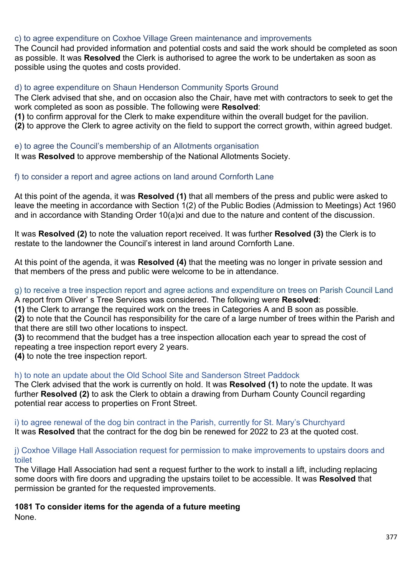## c) to agree expenditure on Coxhoe Village Green maintenance and improvements

The Council had provided information and potential costs and said the work should be completed as soon as possible. It was **Resolved** the Clerk is authorised to agree the work to be undertaken as soon as possible using the quotes and costs provided.

#### d) to agree expenditure on Shaun Henderson Community Sports Ground

The Clerk advised that she, and on occasion also the Chair, have met with contractors to seek to get the work completed as soon as possible. The following were **Resolved**:

**(1)** to confirm approval for the Clerk to make expenditure within the overall budget for the pavilion.

**(2)** to approve the Clerk to agree activity on the field to support the correct growth, within agreed budget.

#### e) to agree the Council's membership of an Allotments organisation

It was **Resolved** to approve membership of the National Allotments Society.

#### f) to consider a report and agree actions on land around Cornforth Lane

At this point of the agenda, it was **Resolved (1)** that all members of the press and public were asked to leave the meeting in accordance with Section 1(2) of the Public Bodies (Admission to Meetings) Act 1960 and in accordance with Standing Order 10(a)xi and due to the nature and content of the discussion.

It was **Resolved (2)** to note the valuation report received. It was further **Resolved (3)** the Clerk is to restate to the landowner the Council's interest in land around Cornforth Lane.

At this point of the agenda, it was **Resolved (4)** that the meeting was no longer in private session and that members of the press and public were welcome to be in attendance.

#### g) to receive a tree inspection report and agree actions and expenditure on trees on Parish Council Land A report from Oliver' s Tree Services was considered. The following were **Resolved**:

**(1)** the Clerk to arrange the required work on the trees in Categories A and B soon as possible.

**(2)** to note that the Council has responsibility for the care of a large number of trees within the Parish and that there are still two other locations to inspect.

**(3)** to recommend that the budget has a tree inspection allocation each year to spread the cost of repeating a tree inspection report every 2 years.

**(4)** to note the tree inspection report.

#### h) to note an update about the Old School Site and Sanderson Street Paddock

The Clerk advised that the work is currently on hold. It was **Resolved (1)** to note the update. It was further **Resolved (2)** to ask the Clerk to obtain a drawing from Durham County Council regarding potential rear access to properties on Front Street.

i) to agree renewal of the dog bin contract in the Parish, currently for St. Mary's Churchyard It was **Resolved** that the contract for the dog bin be renewed for 2022 to 23 at the quoted cost.

#### j) Coxhoe Village Hall Association request for permission to make improvements to upstairs doors and toilet

The Village Hall Association had sent a request further to the work to install a lift, including replacing some doors with fire doors and upgrading the upstairs toilet to be accessible. It was **Resolved** that permission be granted for the requested improvements.

#### **1081 To consider items for the agenda of a future meeting**

None.